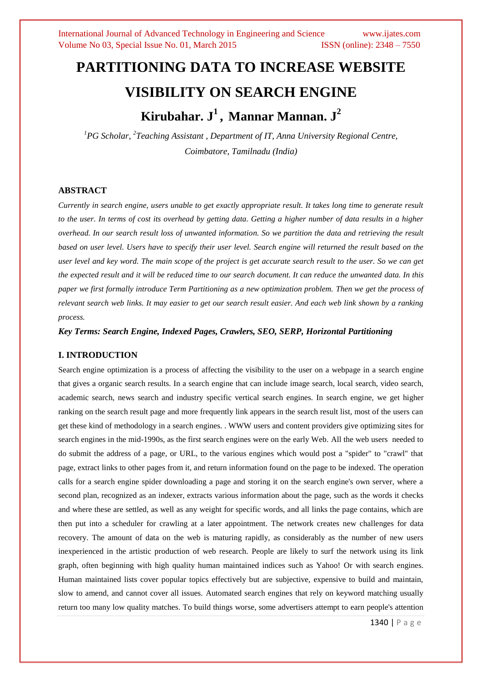# **PARTITIONING DATA TO INCREASE WEBSITE VISIBILITY ON SEARCH ENGINE Kirubahar. J 1 , Mannar Mannan. J 2**

*<sup>1</sup>PG Scholar, 2 Teaching Assistant , Department of IT, Anna University Regional Centre, Coimbatore, Tamilnadu (India)*

## **ABSTRACT**

*Currently in search engine, users unable to get exactly appropriate result. It takes long time to generate result to the user. In terms of cost its overhead by getting data. Getting a higher number of data results in a higher overhead. In our search result loss of unwanted information. So we partition the data and retrieving the result based on user level. Users have to specify their user level. Search engine will returned the result based on the user level and key word. The main scope of the project is get accurate search result to the user. So we can get the expected result and it will be reduced time to our search document. It can reduce the unwanted data. In this paper we first formally introduce Term Partitioning as a new optimization problem. Then we get the process of relevant search web links. It may easier to get our search result easier. And each web link shown by a ranking process.*

*Key Terms: Search Engine, Indexed Pages, Crawlers, SEO, SERP, Horizontal Partitioning*

# **I. INTRODUCTION**

Search engine optimization is a process of affecting the visibility to the user on a webpage in a search engine that gives a organic search results. In a search engine that can include image search, local search, video search, academic search, news search and industry specific vertical search engines. In search engine, we get higher ranking on the search result page and more frequently link appears in the search result list, most of the users can get these kind of methodology in a search engines. . WWW users and content providers give optimizing sites for search engines in the mid-1990s, as the first search engines were on the early Web. All the web users needed to do submit the address of a page, or URL, to the various engines which would post a "spider" to "crawl" that page, extract links to other pages from it, and return information found on the page to be indexed. The operation calls for a search engine spider downloading a page and storing it on the search engine's own server, where a second plan, recognized as an indexer, extracts various information about the page, such as the words it checks and where these are settled, as well as any weight for specific words, and all links the page contains, which are then put into a scheduler for crawling at a later appointment. The network creates new challenges for data recovery. The amount of data on the web is maturing rapidly, as considerably as the number of new users inexperienced in the artistic production of web research. People are likely to surf the network using its link graph, often beginning with high quality human maintained indices such as Yahoo! Or with search engines. Human maintained lists cover popular topics effectively but are subjective, expensive to build and maintain, slow to amend, and cannot cover all issues. Automated search engines that rely on keyword matching usually return too many low quality matches. To build things worse, some advertisers attempt to earn people's attention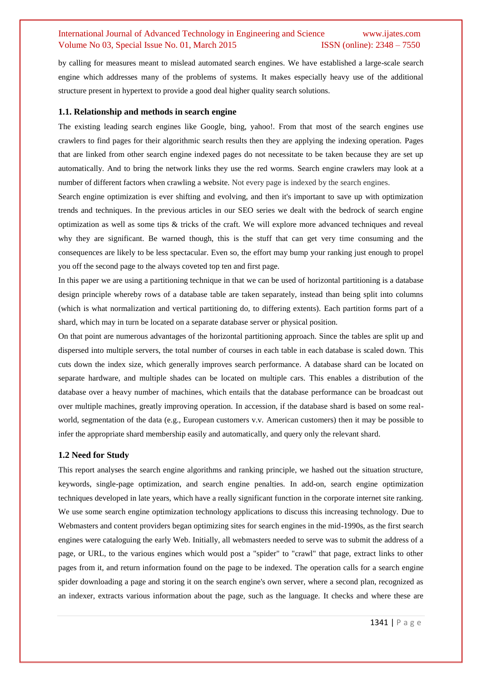by calling for measures meant to mislead automated search engines. We have established a large-scale search engine which addresses many of the problems of systems. It makes especially heavy use of the additional structure present in hypertext to provide a good deal higher quality search solutions.

#### **1.1. Relationship and methods in search engine**

The existing leading search engines like Google, bing, yahoo!. From that most of the search engines use crawlers to find pages for their algorithmic search results then they are applying the indexing operation. Pages that are linked from other search engine indexed pages do not necessitate to be taken because they are set up automatically. And to bring the network links they use the red worms. Search engine crawlers may look at a number of different factors when crawling a website. Not every page is indexed by the search engines.

Search engine optimization is ever shifting and evolving, and then it's important to save up with optimization trends and techniques. In the previous articles in our SEO series we dealt with the bedrock of search engine optimization as well as some tips & tricks of the craft. We will explore more advanced techniques and reveal why they are significant. Be warned though, this is the stuff that can get very time consuming and the consequences are likely to be less spectacular. Even so, the effort may bump your ranking just enough to propel you off the second page to the always coveted top ten and first page.

In this paper we are using a partitioning technique in that we can be used of horizontal partitioning is a database design principle whereby rows of a database table are taken separately, instead than being split into columns (which is what normalization and vertical partitioning do, to differing extents). Each partition forms part of a shard, which may in turn be located on a separate database server or physical position.

On that point are numerous advantages of the horizontal partitioning approach. Since the tables are split up and dispersed into multiple servers, the total number of courses in each table in each database is scaled down. This cuts down the index size, which generally improves search performance. A database shard can be located on separate hardware, and multiple shades can be located on multiple cars. This enables a distribution of the database over a heavy number of machines, which entails that the database performance can be broadcast out over multiple machines, greatly improving operation. In accession, if the database shard is based on some realworld, segmentation of the data (e.g., European customers v.v. American customers) then it may be possible to infer the appropriate shard membership easily and automatically, and query only the relevant shard.

## **1.2 Need for Study**

This report analyses the search engine algorithms and ranking principle, we hashed out the situation structure, keywords, single-page optimization, and search engine penalties. In add-on, search engine optimization techniques developed in late years, which have a really significant function in the corporate internet site ranking. We use some search engine optimization technology applications to discuss this increasing technology. Due to Webmasters and content providers began optimizing sites for search engines in the mid-1990s, as the first search engines were cataloguing the early Web. Initially, all webmasters needed to serve was to submit the address of a page, or URL, to the various engines which would post a "spider" to "crawl" that page, extract links to other pages from it, and return information found on the page to be indexed. The operation calls for a search engine spider downloading a page and storing it on the search engine's own server, where a second plan, recognized as an indexer, extracts various information about the page, such as the language. It checks and where these are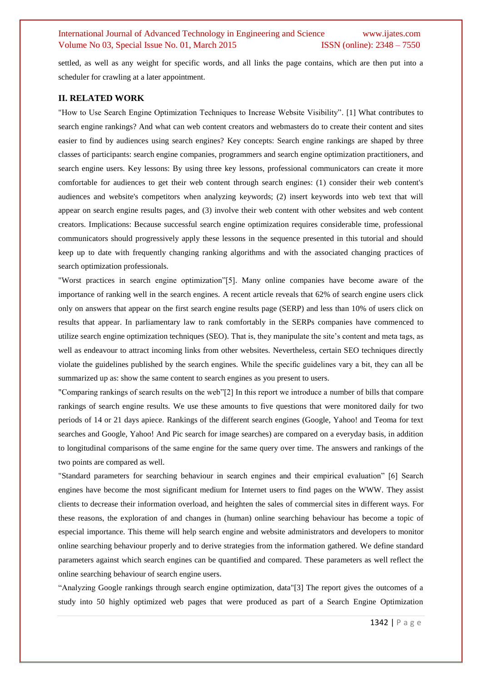settled, as well as any weight for specific words, and all links the page contains, which are then put into a scheduler for crawling at a later appointment.

## **II. RELATED WORK**

"How to Use Search Engine Optimization Techniques to Increase Website Visibility". [1] What contributes to search engine rankings? And what can web content creators and webmasters do to create their content and sites easier to find by audiences using search engines? Key concepts: Search engine rankings are shaped by three classes of participants: search engine companies, programmers and search engine optimization practitioners, and search engine users. Key lessons: By using three key lessons, professional communicators can create it more comfortable for audiences to get their web content through search engines: (1) consider their web content's audiences and website's competitors when analyzing keywords; (2) insert keywords into web text that will appear on search engine results pages, and (3) involve their web content with other websites and web content creators. Implications: Because successful search engine optimization requires considerable time, professional communicators should progressively apply these lessons in the sequence presented in this tutorial and should keep up to date with frequently changing ranking algorithms and with the associated changing practices of search optimization professionals.

"Worst practices in search engine optimization"[5]. Many online companies have become aware of the importance of ranking well in the search engines. A recent article reveals that 62% of search engine users click only on answers that appear on the first search engine results page (SERP) and less than 10% of users click on results that appear. In parliamentary law to rank comfortably in the SERPs companies have commenced to utilize search engine optimization techniques (SEO). That is, they manipulate the site's content and meta tags, as well as endeavour to attract incoming links from other websites. Nevertheless, certain SEO techniques directly violate the guidelines published by the search engines. While the specific guidelines vary a bit, they can all be summarized up as: show the same content to search engines as you present to users.

"Comparing rankings of search results on the web"[2] In this report we introduce a number of bills that compare rankings of search engine results. We use these amounts to five questions that were monitored daily for two periods of 14 or 21 days apiece. Rankings of the different search engines (Google, Yahoo! and Teoma for text searches and Google, Yahoo! And Pic search for image searches) are compared on a everyday basis, in addition to longitudinal comparisons of the same engine for the same query over time. The answers and rankings of the two points are compared as well.

"Standard parameters for searching behaviour in search engines and their empirical evaluation" [6] Search engines have become the most significant medium for Internet users to find pages on the WWW. They assist clients to decrease their information overload, and heighten the sales of commercial sites in different ways. For these reasons, the exploration of and changes in (human) online searching behaviour has become a topic of especial importance. This theme will help search engine and website administrators and developers to monitor online searching behaviour properly and to derive strategies from the information gathered. We define standard parameters against which search engines can be quantified and compared. These parameters as well reflect the online searching behaviour of search engine users.

―Analyzing Google rankings through search engine optimization, data"[3] The report gives the outcomes of a study into 50 highly optimized web pages that were produced as part of a Search Engine Optimization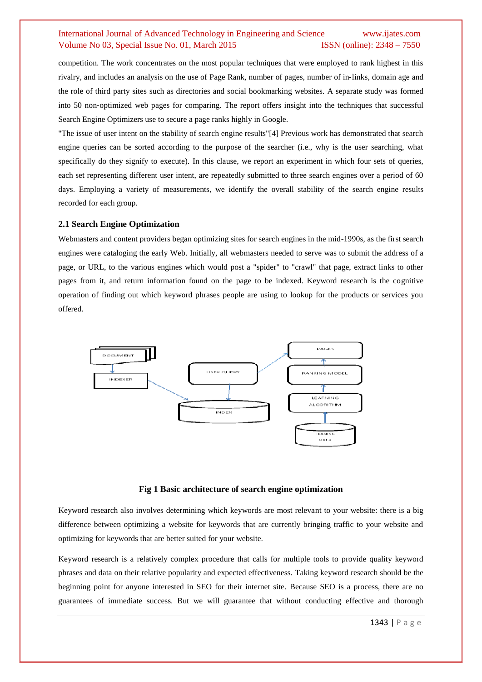competition. The work concentrates on the most popular techniques that were employed to rank highest in this rivalry, and includes an analysis on the use of Page Rank, number of pages, number of in‐links, domain age and the role of third party sites such as directories and social bookmarking websites. A separate study was formed into 50 non‐optimized web pages for comparing. The report offers insight into the techniques that successful Search Engine Optimizers use to secure a page ranks highly in Google.

"The issue of user intent on the stability of search engine results"[4] Previous work has demonstrated that search engine queries can be sorted according to the purpose of the searcher (i.e., why is the user searching, what specifically do they signify to execute). In this clause, we report an experiment in which four sets of queries, each set representing different user intent, are repeatedly submitted to three search engines over a period of 60 days. Employing a variety of measurements, we identify the overall stability of the search engine results recorded for each group.

#### **2.1 Search Engine Optimization**

Webmasters and content providers began optimizing sites for search engines in the mid-1990s, as the first search engines were cataloging the early Web. Initially, all webmasters needed to serve was to submit the address of a page, or URL, to the various engines which would post a "spider" to "crawl" that page, extract links to other pages from it, and return information found on the page to be indexed. Keyword research is the cognitive operation of finding out which keyword phrases people are using to lookup for the products or services you offered.



#### **Fig 1 Basic architecture of search engine optimization**

Keyword research also involves determining which keywords are most relevant to your website: there is a big difference between optimizing a website for keywords that are currently bringing traffic to your website and optimizing for keywords that are better suited for your website.

Keyword research is a relatively complex procedure that calls for multiple tools to provide quality keyword phrases and data on their relative popularity and expected effectiveness. Taking keyword research should be the beginning point for anyone interested in SEO for their internet site. Because SEO is a process, there are no guarantees of immediate success. But we will guarantee that without conducting effective and thorough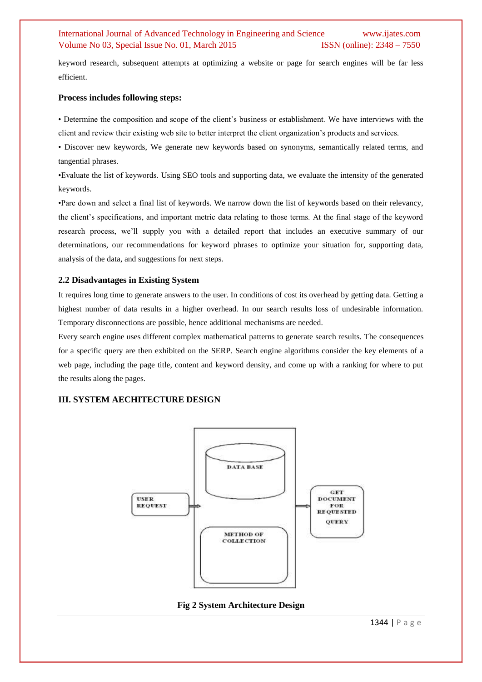keyword research, subsequent attempts at optimizing a website or page for search engines will be far less efficient.

## **Process includes following steps:**

• Determine the composition and scope of the client's business or establishment. We have interviews with the client and review their existing web site to better interpret the client organization's products and services.

• Discover new keywords, We generate new keywords based on synonyms, semantically related terms, and tangential phrases.

•Evaluate the list of keywords. Using SEO tools and supporting data, we evaluate the intensity of the generated keywords.

•Pare down and select a final list of keywords. We narrow down the list of keywords based on their relevancy, the client's specifications, and important metric data relating to those terms. At the final stage of the keyword research process, we'll supply you with a detailed report that includes an executive summary of our determinations, our recommendations for keyword phrases to optimize your situation for, supporting data, analysis of the data, and suggestions for next steps.

#### **2.2 Disadvantages in Existing System**

It requires long time to generate answers to the user. In conditions of cost its overhead by getting data. Getting a highest number of data results in a higher overhead. In our search results loss of undesirable information. Temporary disconnections are possible, hence additional mechanisms are needed.

Every search engine uses different complex mathematical patterns to generate search results. The consequences for a specific query are then exhibited on the SERP. Search engine algorithms consider the key elements of a web page, including the page title, content and keyword density, and come up with a ranking for where to put the results along the pages.

# **III. SYSTEM AECHITECTURE DESIGN**



# **Fig 2 System Architecture Design**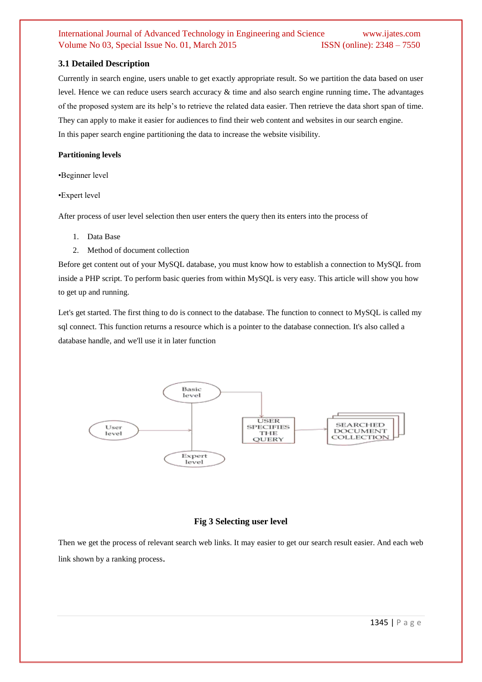# **3.1 Detailed Description**

Currently in search engine, users unable to get exactly appropriate result. So we partition the data based on user level. Hence we can reduce users search accuracy & time and also search engine running time**.** The advantages of the proposed system are its help's to retrieve the related data easier. Then retrieve the data short span of time. They can apply to make it easier for audiences to find their web content and websites in our search engine. In this paper search engine partitioning the data to increase the website visibility.

# **Partitioning levels**

•Beginner level

•Expert level

After process of user level selection then user enters the query then its enters into the process of

- 1. Data Base
- 2. Method of document collection

Before get content out of your MySQL database, you must know how to establish a connection to MySQL from inside a PHP script. To perform basic queries from within MySQL is very easy. This article will show you how to get up and running.

Let's get started. The first thing to do is connect to the database. The function to connect to MySQL is called my sql connect. This function returns a resource which is a pointer to the database connection. It's also called a database handle, and we'll use it in later function



# **Fig 3 Selecting user level**

Then we get the process of relevant search web links. It may easier to get our search result easier. And each web link shown by a ranking process.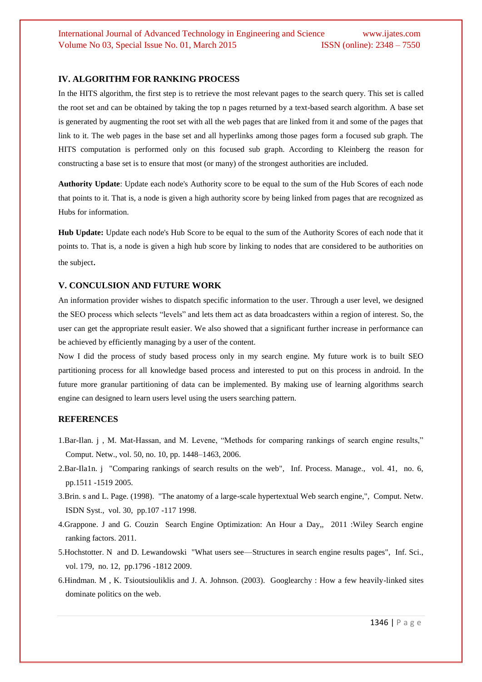# **IV. ALGORITHM FOR RANKING PROCESS**

In the HITS algorithm, the first step is to retrieve the most relevant pages to the search query. This set is called the root set and can be obtained by taking the top n pages returned by a text-based search algorithm. A base set is generated by augmenting the root set with all the web pages that are linked from it and some of the pages that link to it. The web pages in the base set and all hyperlinks among those pages form a focused sub graph. The HITS computation is performed only on this focused sub graph. According to Kleinberg the reason for constructing a base set is to ensure that most (or many) of the strongest authorities are included.

**Authority Update**: Update each node's Authority score to be equal to the sum of the Hub Scores of each node that points to it. That is, a node is given a high authority score by being linked from pages that are recognized as Hubs for information.

**Hub Update:** Update each node's Hub Score to be equal to the sum of the Authority Scores of each node that it points to. That is, a node is given a high hub score by linking to nodes that are considered to be authorities on the subject.

#### **V. CONCULSION AND FUTURE WORK**

An information provider wishes to dispatch specific information to the user. Through a user level, we designed the SEO process which selects "levels" and lets them act as data broadcasters within a region of interest. So, the user can get the appropriate result easier. We also showed that a significant further increase in performance can be achieved by efficiently managing by a user of the content.

Now I did the process of study based process only in my search engine. My future work is to built SEO partitioning process for all knowledge based process and interested to put on this process in android. In the future more granular partitioning of data can be implemented. By making use of learning algorithms search engine can designed to learn users level using the users searching pattern.

## **REFERENCES**

- 1.Bar-Ilan. j , M. Mat-Hassan, and M. Levene, "Methods for comparing rankings of search engine results," Comput. Netw., vol. 50, no. 10, pp. 1448–1463, 2006.
- 2.Bar-Ila1n. j "Comparing rankings of search results on the web", Inf. Process. Manage., vol. 41, no. 6, pp.1511 -1519 2005.
- 3.Brin. s and L. Page. (1998). "The anatomy of a large-scale hypertextual Web search engine,", Comput. Netw. ISDN Syst., vol. 30, pp.107 -117 1998.
- 4.Grappone. J and G. Couzin Search Engine Optimization: An Hour a Day,, 2011 :Wiley Search engine ranking factors. 2011.
- 5.Hochstotter. N and D. Lewandowski "What users see—Structures in search engine results pages", Inf. Sci., vol. 179, no. 12, pp.1796 -1812 2009.
- 6.Hindman. M , K. Tsioutsiouliklis and J. A. Johnson. (2003). Googlearchy : How a few heavily-linked sites dominate politics on the web.